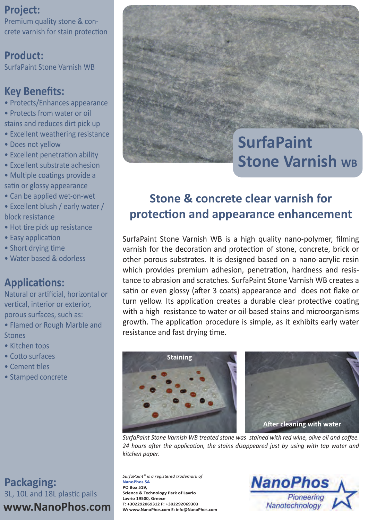### **Project:**

Premium quality stone & concrete varnish for stain protection

### **Product:**

SurfaPaint Stone Varnish WB

## **Key Benefits:**

- Protects/Enhances appearance
- Protects from water or oil stains and reduces dirt pick up
- Excellent weathering resistance
- Does not yellow
- Excellent penetration ability
- Excellent substrate adhesion
- Multiple coatings provide a satin or glossy appearance
- Can be applied wet-on-wet
- Excellent blush / early water / block resistance
- Hot tire pick up resistance
- Easy application
- Short drying time
- Water based & odorless

## **Applications:**

Natural or artificial, horizontal or vertical, interior or exterior, porous surfaces, such as:

- Flamed or Rough Marble and **Stones**
- Kitchen tops
- Cotto surfaces
- Cement tiles
- Stamped concrete



# **Stone & concrete clear varnish for protection and appearance enhancement**

SurfaPaint Stone Varnish WB is a high quality nano-polymer, filming varnish for the decoration and protection of stone, concrete, brick or other porous substrates. It is designed based on a nano-acrylic resin which provides premium adhesion, penetration, hardness and resistance to abrasion and scratches. SurfaPaint Stone Varnish WB creates a satin or even glossy (after 3 coats) appearance and does not flake or turn yellow. Its application creates a durable clear protective coating with a high resistance to water or oil-based stains and microorganisms growth. The application procedure is simple, as it exhibits early water resistance and fast drying time.





*SurfaPaint Stone Varnish WB treated stone was stained with red wine, olive oil and coffee. 24 hours after the application, the stains disappeared just by using with tap water and kitchen paper.* 

*SurfaPaint® is a registered trademark of*  **NanoPhos SA PO Box 519, Science & Technology Park of Lavrio Lavrio 19500, Greece T: +302292069312 F: +302292069303 W: www.NanoPhos.com E: info@NanoPhos.com**



**www.NanoPhos.com Packaging:** 3L, 10L and 18L plastic pails